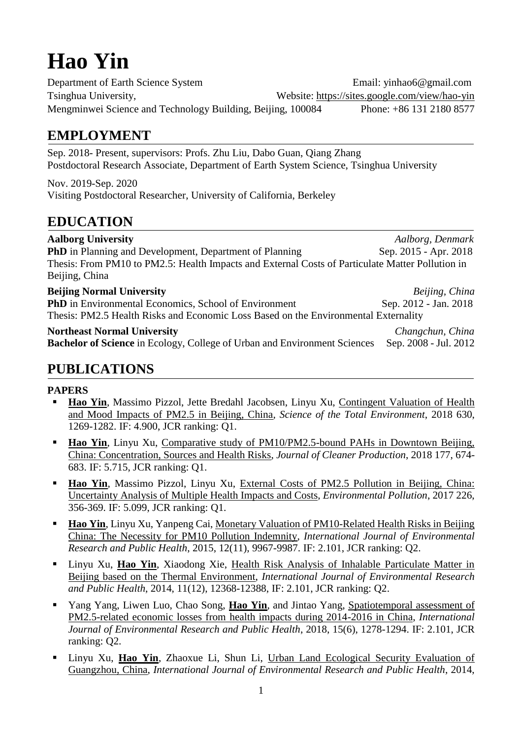# **Hao Yin**

Department of Earth Science System Email: yinhao6@gmail.com Tsinghua University, Website:<https://sites.google.com/view/hao-yin> Mengminwei Science and Technology Building, Beijing, 100084 Phone: +86 131 2180 8577

# **EMPLOYMENT**

Sep. 2018- Present, supervisors: Profs. Zhu Liu, Dabo Guan, Qiang Zhang Postdoctoral Research Associate, Department of Earth System Science, Tsinghua University

Nov. 2019-Sep. 2020 Visiting Postdoctoral Researcher, University of California, Berkeley

## **EDUCATION**

**Aalborg University** *Aalborg, Denmark* **PhD** in Planning and Development, Department of Planning Sep. 2015 - Apr. 2018 Thesis: From PM10 to PM2.5: Health Impacts and External Costs of Particulate Matter Pollution in Beijing, China **Beijing Normal University** *Beijing, China* **PhD** in Environmental Economics, School of Environment Sep. 2012 - Jan. 2018 Thesis: PM2.5 Health Risks and Economic Loss Based on the Environmental Externality

#### **Northeast Normal University** *Changchun, China*

Bachelor of Science in Ecology, College of Urban and Environment Sciences Sep. 2008 - Jul. 2012

# **PUBLICATIONS**

#### **PAPERS**

- Hao Yin, Massimo Pizzol, Jette Bredahl Jacobsen, Linyu Xu, Contingent Valuation of Health [and Mood Impacts of PM2.5 in Beijing, China,](https://www.sciencedirect.com/science/article/pii/S0048969718306764) *Science of the Total Environment*, 2018 630, 1269-1282. IF: 4.900, JCR ranking: Q1.
- **Hao Yin**, Linyu Xu, Comparative study of PM10/PM2.5-bound PAHs in Downtown Beijing, [China: Concentration, Sources and Health Risks,](https://www.sciencedirect.com/science/article/pii/S0959652617332572) *Journal of Cleaner Production*, 2018 177, 674- 683. IF: 5.715, JCR ranking: Q1.
- **Hao Yin**, Massimo Pizzol, Linyu Xu, External Costs of PM2.5 Pollution in Beijing, China: [Uncertainty Analysis of Multiple Health Impacts and Costs,](https://www.sciencedirect.com/science/article/pii/S0269749116308600) *Environmental Pollution*, 2017 226, 356-369. IF: 5.099, JCR ranking: Q1.
- **Hao Yin**, Linyu Xu, Yanpeng Cai, Monetary Valuation of PM10-Related Health Risks in Beijing [China: The Necessity for PM10 Pollution Indemnity,](https://www.mdpi.com/1660-4601/12/8/9967) *International Journal of Environmental Research and Public Health*, 2015, 12(11), 9967-9987. IF: 2.101, JCR ranking: Q2.
- **EXECUTE:** Linyu Xu, **Hao Yin**, Xiaodong Xie, Health Risk Analysis of Inhalable Particulate Matter in [Beijing based on the Thermal Environment,](https://www.mdpi.com/1660-4601/11/12/12368/htm) *International Journal of Environmental Research and Public Health*, 2014, 11(12), 12368-12388, IF: 2.101, JCR ranking: Q2.
- Yang Yang, Liwen Luo, Chao Song, **Hao Yin**, and Jintao Yang, [Spatiotemporal assessment of](https://www.mdpi.com/1660-4601/15/6/1278)  PM2.5-related [economic losses from health impacts during 2014-2016 in China,](https://www.mdpi.com/1660-4601/15/6/1278) *International Journal of Environmental Research and Public Health*, 2018, 15(6), 1278-1294. IF: 2.101, JCR ranking: Q2.
- Linyu Xu, Hao Yin, Zhaoxue Li, Shun Li, Urban Land Ecological Security Evaluation of [Guangzhou, China,](https://www.mdpi.com/1660-4601/11/10/10537) *International Journal of Environmental Research and Public Health*, 2014,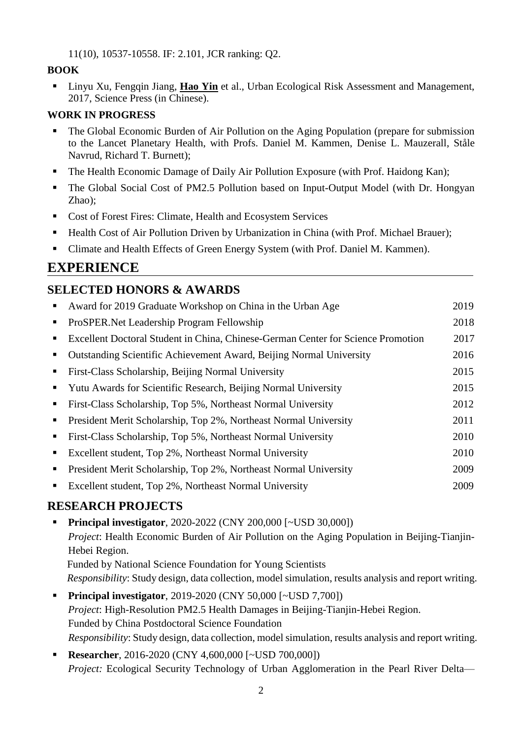11(10), 10537-10558. IF: 2.101, JCR ranking: Q2.

#### **BOOK**

**Example 21** Linyu Xu, Fengqin Jiang, **Hao Yin** et al., Urban Ecological Risk Assessment and Management, 2017, Science Press (in Chinese).

#### **WORK IN PROGRESS**

- The Global Economic Burden of Air Pollution on the Aging Population (prepare for submission to the Lancet Planetary Health, with Profs. Daniel M. Kammen, Denise L. Mauzerall, Ståle Navrud, Richard T. Burnett);
- The Health Economic Damage of Daily Air Pollution Exposure (with Prof. Haidong Kan);
- The Global Social Cost of PM2.5 Pollution based on Input-Output Model (with Dr. Hongyan Zhao);
- Cost of Forest Fires: Climate, Health and Ecosystem Services
- Health Cost of Air Pollution Driven by Urbanization in China (with Prof. Michael Brauer);
- Climate and Health Effects of Green Energy System (with Prof. Daniel M. Kammen).

# **EXPERIENCE**

## **SELECTED HONORS & AWARDS**

|                | Award for 2019 Graduate Workshop on China in the Urban Age                       | 2019 |
|----------------|----------------------------------------------------------------------------------|------|
| $\blacksquare$ | ProSPER. Net Leadership Program Fellowship                                       | 2018 |
|                | Excellent Doctoral Student in China, Chinese-German Center for Science Promotion | 2017 |
|                | Outstanding Scientific Achievement Award, Beijing Normal University              | 2016 |
|                | First-Class Scholarship, Beijing Normal University                               | 2015 |
|                | Yutu Awards for Scientific Research, Beijing Normal University                   | 2015 |
|                | First-Class Scholarship, Top 5%, Northeast Normal University                     | 2012 |
|                | President Merit Scholarship, Top 2%, Northeast Normal University                 | 2011 |
| п.             | First-Class Scholarship, Top 5%, Northeast Normal University                     | 2010 |
|                | Excellent student, Top 2%, Northeast Normal University                           | 2010 |
|                | President Merit Scholarship, Top 2%, Northeast Normal University                 | 2009 |
|                | Excellent student, Top 2%, Northeast Normal University                           | 2009 |
|                |                                                                                  |      |

## **RESEARCH PROJECTS**

- **Principal investigator**, 2020-2022 (CNY 200,000 [~USD 30,000]) *Project*: Health Economic Burden of Air Pollution on the Aging Population in Beijing-Tianjin-Hebei Region. Funded by National Science Foundation for Young Scientists *Responsibility*: Study design, data collection, model simulation, results analysis and report writing.
- **Principal investigator**, 2019-2020 (CNY 50,000 [~USD 7,700]) *Project*: High-Resolution PM2.5 Health Damages in Beijing-Tianjin-Hebei Region. Funded by China Postdoctoral Science Foundation *Responsibility*: Study design, data collection, model simulation, results analysis and report writing.
- **Researcher**, 2016-2020 (CNY 4,600,000 [~USD 700,000]) *Project:* Ecological Security Technology of Urban Agglomeration in the Pearl River Delta—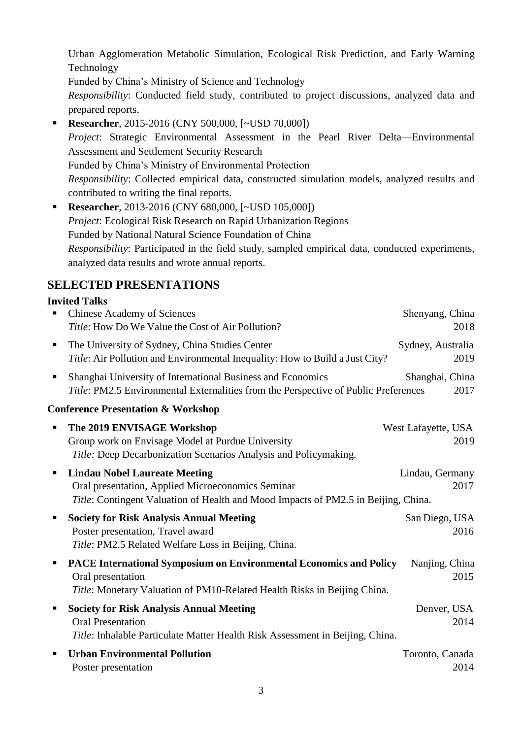Urban Agglomeration Metabolic Simulation, Ecological Risk Prediction, and Early Warning Technology

Funded by China's Ministry of Science and Technology

*Responsibility*: Conducted field study, contributed to project discussions, analyzed data and prepared reports.

- **Researcher**, 2015-2016 (CNY 500,000, [~USD 70,000]) *Project*: Strategic Environmental Assessment in the Pearl River Delta—Environmental Assessment and Settlement Security Research Funded by China's Ministry of Environmental Protection *Responsibility*: Collected empirical data, constructed simulation models, analyzed results and contributed to writing the final reports.
- **Researcher**, 2013-2016 (CNY 680,000, [~USD 105,000]) *Project*: Ecological Risk Research on Rapid Urbanization Regions Funded by National Natural Science Foundation of China *Responsibility*: Participated in the field study, sampled empirical data, conducted experiments, analyzed data results and wrote annual reports.

## **SELECTED PRESENTATIONS**

### **Invited Talks**

|                                               | <b>Chinese Academy of Sciences</b><br>Title: How Do We Value the Cost of Air Pollution?                                                                                         | Shenyang, China<br>2018     |  |
|-----------------------------------------------|---------------------------------------------------------------------------------------------------------------------------------------------------------------------------------|-----------------------------|--|
| ٠                                             | The University of Sydney, China Studies Center<br>Title: Air Pollution and Environmental Inequality: How to Build a Just City?                                                  | Sydney, Australia<br>2019   |  |
| п                                             | Shanghai University of International Business and Economics<br>Title: PM2.5 Environmental Externalities from the Perspective of Public Preferences                              | Shanghai, China<br>2017     |  |
| <b>Conference Presentation &amp; Workshop</b> |                                                                                                                                                                                 |                             |  |
| $\blacksquare$                                | The 2019 ENVISAGE Workshop<br>Group work on Envisage Model at Purdue University<br>Title: Deep Decarbonization Scenarios Analysis and Policymaking.                             | West Lafayette, USA<br>2019 |  |
| ٠                                             | <b>Lindau Nobel Laureate Meeting</b><br>Oral presentation, Applied Microeconomics Seminar<br>Title: Contingent Valuation of Health and Mood Impacts of PM2.5 in Beijing, China. | Lindau, Germany<br>2017     |  |
|                                               | <b>Society for Risk Analysis Annual Meeting</b><br>Poster presentation, Travel award<br>Title: PM2.5 Related Welfare Loss in Beijing, China.                                    | San Diego, USA<br>2016      |  |
|                                               | <b>PACE International Symposium on Environmental Economics and Policy</b><br>Oral presentation<br>Title: Monetary Valuation of PM10-Related Health Risks in Beijing China.      | Nanjing, China<br>2015      |  |
|                                               | <b>Society for Risk Analysis Annual Meeting</b><br><b>Oral Presentation</b><br>Title: Inhalable Particulate Matter Health Risk Assessment in Beijing, China.                    | Denver, USA<br>2014         |  |
|                                               | <b>Urban Environmental Pollution</b><br>Poster presentation                                                                                                                     | Toronto, Canada<br>2014     |  |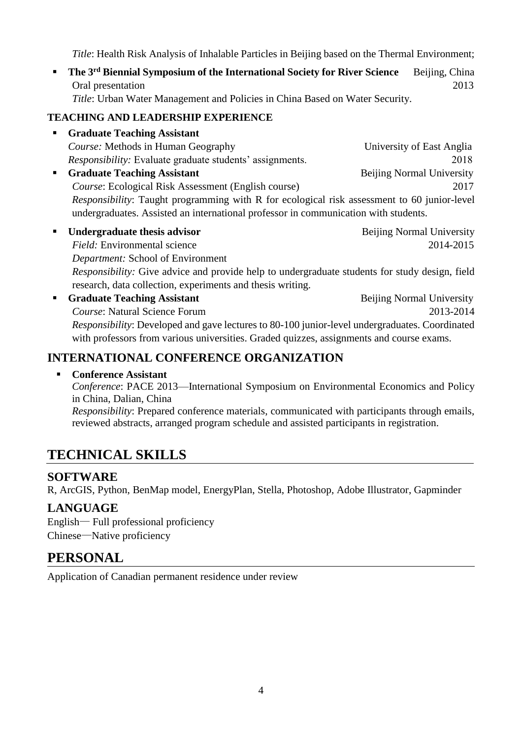*Title*: Health Risk Analysis of Inhalable Particles in Beijing based on the Thermal Environment;

**• The 3<sup>rd</sup> Biennial Symposium of the International Society for River Science** Beijing, China Oral presentation 2013

*Title*: Urban Water Management and Policies in China Based on Water Security.

#### **TEACHING AND LEADERSHIP EXPERIENCE**

- **Graduate Teaching Assistant** *Course:* Methods in Human Geography University of East Anglia *Responsibility:* Evaluate graduate students' assignments. 2018 **Example 3 Graduate Teaching Assistant** Beijing Normal University *Course*: Ecological Risk Assessment (English course) 2017 *Responsibility*: Taught programming with R for ecological risk assessment to 60 junior-level undergraduates. Assisted an international professor in communication with students. **• Undergraduate thesis advisor b Example 2018 Beijing Normal University** 
	- *Field:* Environmental science 2014-2015 *Department:* School of Environment *Responsibility:* Give advice and provide help to undergraduate students for study design, field research, data collection, experiments and thesis writing.
- **Example 3 Graduate Teaching Assistant** Beijing Normal University **Course: Natural Science Forum 2013-2014** *Responsibility*: Developed and gave lectures to 80-100 junior-level undergraduates. Coordinated with professors from various universities. Graded quizzes, assignments and course exams.

## **INTERNATIONAL CONFERENCE ORGANIZATION**

#### ▪ **Conference Assistant**

*Conference*: PACE 2013—International Symposium on Environmental Economics and Policy in China, Dalian, China

*Responsibility*: Prepared conference materials, communicated with participants through emails, reviewed abstracts, arranged program schedule and assisted participants in registration.

# **TECHNICAL SKILLS**

#### **SOFTWARE**

R, ArcGIS, Python, BenMap model, EnergyPlan, Stella, Photoshop, Adobe Illustrator, Gapminder

## **LANGUAGE**

English— Full professional proficiency Chinese—Native proficiency

## **PERSONAL**

Application of Canadian permanent residence under review